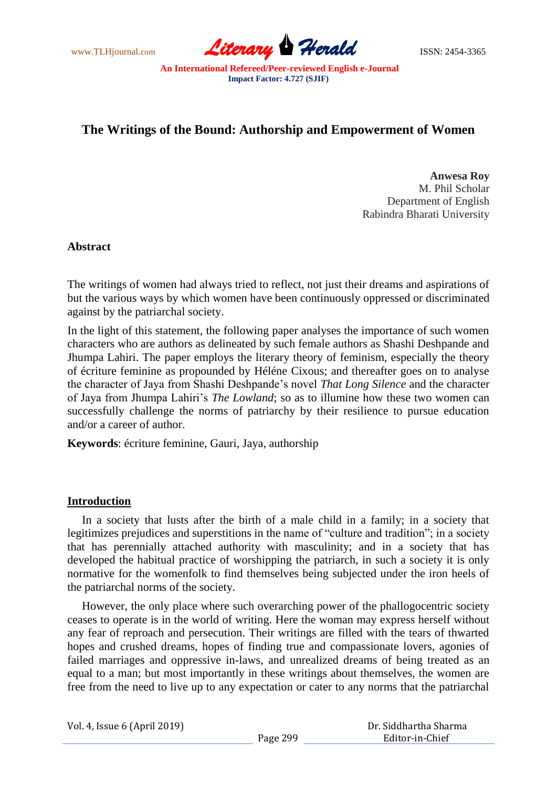www.TLHjournal.com **Literary Herald Herald** ISSN: 2454-3365

# **The Writings of the Bound: Authorship and Empowerment of Women**

**Anwesa Roy** M. Phil Scholar Department of English Rabindra Bharati University

# **Abstract**

The writings of women had always tried to reflect, not just their dreams and aspirations of but the various ways by which women have been continuously oppressed or discriminated against by the patriarchal society.

In the light of this statement, the following paper analyses the importance of such women characters who are authors as delineated by such female authors as Shashi Deshpande and Jhumpa Lahiri. The paper employs the literary theory of feminism, especially the theory of écriture feminine as propounded by Héléne Cixous; and thereafter goes on to analyse the character of Jaya from Shashi Deshpande's novel *That Long Silence* and the character of Jaya from Jhumpa Lahiri's *The Lowland*; so as to illumine how these two women can successfully challenge the norms of patriarchy by their resilience to pursue education and/or a career of author.

**Keywords**: écriture feminine, Gauri, Jaya, authorship

# **Introduction**

 In a society that lusts after the birth of a male child in a family; in a society that legitimizes prejudices and superstitions in the name of "culture and tradition"; in a society that has perennially attached authority with masculinity; and in a society that has developed the habitual practice of worshipping the patriarch, in such a society it is only normative for the womenfolk to find themselves being subjected under the iron heels of the patriarchal norms of the society.

 However, the only place where such overarching power of the phallogocentric society ceases to operate is in the world of writing. Here the woman may express herself without any fear of reproach and persecution. Their writings are filled with the tears of thwarted hopes and crushed dreams, hopes of finding true and compassionate lovers, agonies of failed marriages and oppressive in-laws, and unrealized dreams of being treated as an equal to a man; but most importantly in these writings about themselves, the women are free from the need to live up to any expectation or cater to any norms that the patriarchal

| Vol. 4, Issue 6 (April 2019) |  |
|------------------------------|--|
|------------------------------|--|

| Dr. Siddhartha Sharma |  |
|-----------------------|--|
| Editor-in-Chief       |  |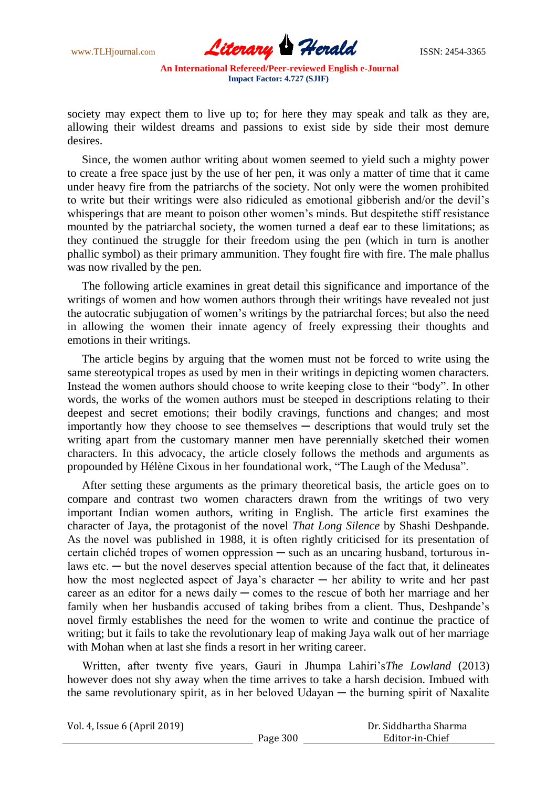

society may expect them to live up to; for here they may speak and talk as they are, allowing their wildest dreams and passions to exist side by side their most demure desires.

 Since, the women author writing about women seemed to yield such a mighty power to create a free space just by the use of her pen, it was only a matter of time that it came under heavy fire from the patriarchs of the society. Not only were the women prohibited to write but their writings were also ridiculed as emotional gibberish and/or the devil's whisperings that are meant to poison other women's minds. But despitethe stiff resistance mounted by the patriarchal society, the women turned a deaf ear to these limitations; as they continued the struggle for their freedom using the pen (which in turn is another phallic symbol) as their primary ammunition. They fought fire with fire. The male phallus was now rivalled by the pen.

 The following article examines in great detail this significance and importance of the writings of women and how women authors through their writings have revealed not just the autocratic subjugation of women's writings by the patriarchal forces; but also the need in allowing the women their innate agency of freely expressing their thoughts and emotions in their writings.

 The article begins by arguing that the women must not be forced to write using the same stereotypical tropes as used by men in their writings in depicting women characters. Instead the women authors should choose to write keeping close to their "body". In other words, the works of the women authors must be steeped in descriptions relating to their deepest and secret emotions; their bodily cravings, functions and changes; and most  $\frac{1}{2}$  importantly how they choose to see themselves  $\frac{1}{2}$  descriptions that would truly set the writing apart from the customary manner men have perennially sketched their women characters. In this advocacy, the article closely follows the methods and arguments as propounded by Hélène Cixous in her foundational work, "The Laugh of the Medusa".

 After setting these arguments as the primary theoretical basis, the article goes on to compare and contrast two women characters drawn from the writings of two very important Indian women authors, writing in English. The article first examines the character of Jaya, the protagonist of the novel *That Long Silence* by Shashi Deshpande. As the novel was published in 1988, it is often rightly criticised for its presentation of certain clichéd tropes of women oppression  $-$  such as an uncaring husband, torturous inlaws etc.  $-$  but the novel deserves special attention because of the fact that, it delineates how the most neglected aspect of Jaya's character  $-$  her ability to write and her past career as an editor for a news daily  $-$  comes to the rescue of both her marriage and her family when her husbandis accused of taking bribes from a client. Thus, Deshpande's novel firmly establishes the need for the women to write and continue the practice of writing; but it fails to take the revolutionary leap of making Jaya walk out of her marriage with Mohan when at last she finds a resort in her writing career.

 Written, after twenty five years, Gauri in Jhumpa Lahiri's*The Lowland* (2013) however does not shy away when the time arrives to take a harsh decision. Imbued with the same revolutionary spirit, as in her beloved Udayan ─ the burning spirit of Naxalite

|    | Dr. Siddhartha Sharma |
|----|-----------------------|
| )0 | Editor-in-Chief       |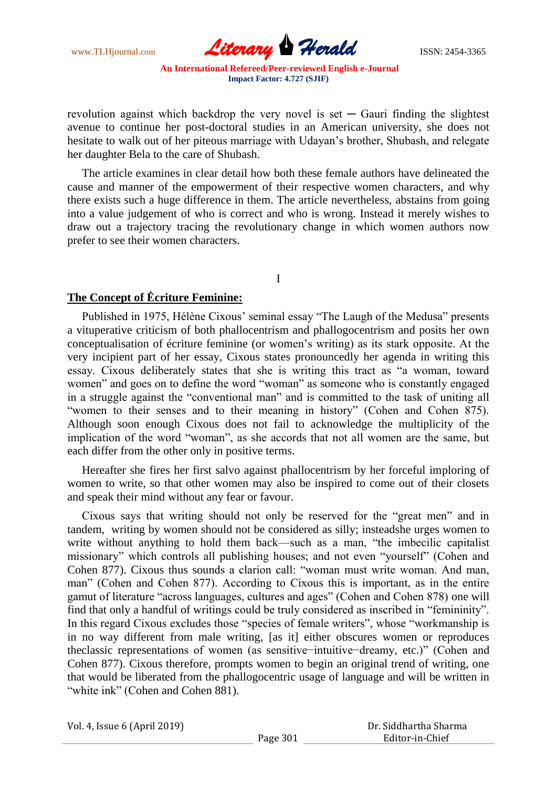www.TLHjournal.com **Literary Herald ISSN: 2454-3365** 

revolution against which backdrop the very novel is set  $-$  Gauri finding the slightest avenue to continue her post-doctoral studies in an American university, she does not hesitate to walk out of her piteous marriage with Udayan's brother, Shubash, and relegate her daughter Bela to the care of Shubash.

 The article examines in clear detail how both these female authors have delineated the cause and manner of the empowerment of their respective women characters, and why there exists such a huge difference in them. The article nevertheless, abstains from going into a value judgement of who is correct and who is wrong. Instead it merely wishes to draw out a trajectory tracing the revolutionary change in which women authors now prefer to see their women characters.

I

# The Concept of **Écriture Feminine:**

 Published in 1975, Hélène Cixous' seminal essay "The Laugh of the Medusa" presents a vituperative criticism of both phallocentrism and phallogocentrism and posits her own conceptualisation of écriture feminine (or women's writing) as its stark opposite. At the very incipient part of her essay, Cixous states pronouncedly her agenda in writing this essay. Cixous deliberately states that she is writing this tract as "a woman, toward women" and goes on to define the word "woman" as someone who is constantly engaged in a struggle against the "conventional man" and is committed to the task of uniting all "women to their senses and to their meaning in history" (Cohen and Cohen 875). Although soon enough Cixous does not fail to acknowledge the multiplicity of the implication of the word "woman", as she accords that not all women are the same, but each differ from the other only in positive terms.

 Hereafter she fires her first salvo against phallocentrism by her forceful imploring of women to write, so that other women may also be inspired to come out of their closets and speak their mind without any fear or favour.

 Cixous says that writing should not only be reserved for the "great men" and in tandem, writing by women should not be considered as silly; insteadshe urges women to write without anything to hold them back—such as a man, "the imbecilic capitalist missionary" which controls all publishing houses; and not even "yourself" (Cohen and Cohen 877). Cixous thus sounds a clarion call: "woman must write woman. And man, man" (Cohen and Cohen 877). According to Cixous this is important, as in the entire gamut of literature "across languages, cultures and ages" (Cohen and Cohen 878) one will find that only a handful of writings could be truly considered as inscribed in "femininity". In this regard Cixous excludes those "species of female writers", whose "workmanship is in no way different from male writing, [as it] either obscures women or reproduces theclassic representations of women (as sensitive−intuitive−dreamy, etc.)" (Cohen and Cohen 877). Cixous therefore, prompts women to begin an original trend of writing, one that would be liberated from the phallogocentric usage of language and will be written in "white ink" (Cohen and Cohen 881).

| Dr. Siddhartha Sharma |  |
|-----------------------|--|
| Editor-in-Chief       |  |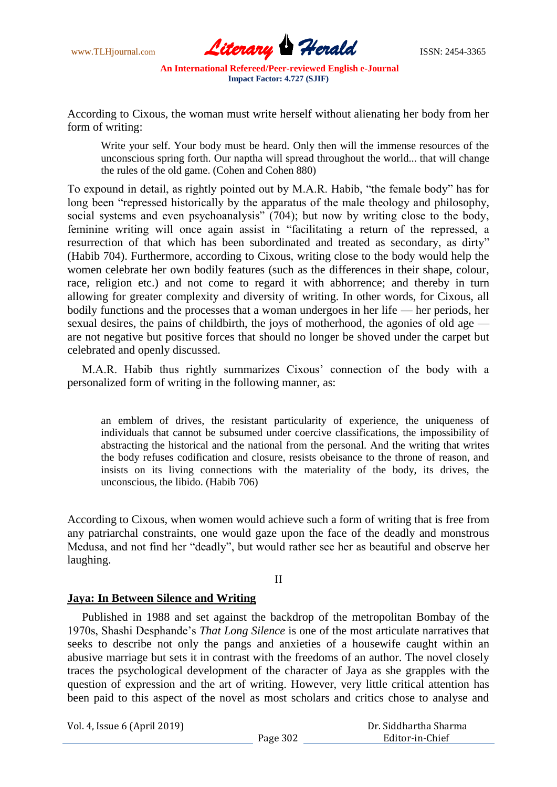www.TLHjournal.com **Literary Herald Herald** ISSN: 2454-3365

According to Cixous, the woman must write herself without alienating her body from her form of writing:

Write your self. Your body must be heard. Only then will the immense resources of the unconscious spring forth. Our naptha will spread throughout the world... that will change the rules of the old game. (Cohen and Cohen 880)

To expound in detail, as rightly pointed out by M.A.R. Habib, "the female body" has for long been "repressed historically by the apparatus of the male theology and philosophy, social systems and even psychoanalysis" (704); but now by writing close to the body, feminine writing will once again assist in "facilitating a return of the repressed, a resurrection of that which has been subordinated and treated as secondary, as dirty" (Habib 704). Furthermore, according to Cixous, writing close to the body would help the women celebrate her own bodily features (such as the differences in their shape, colour, race, religion etc.) and not come to regard it with abhorrence; and thereby in turn allowing for greater complexity and diversity of writing. In other words, for Cixous, all bodily functions and the processes that a woman undergoes in her life — her periods, her sexual desires, the pains of childbirth, the joys of motherhood, the agonies of old age are not negative but positive forces that should no longer be shoved under the carpet but celebrated and openly discussed.

 M.A.R. Habib thus rightly summarizes Cixous' connection of the body with a personalized form of writing in the following manner, as:

an emblem of drives, the resistant particularity of experience, the uniqueness of individuals that cannot be subsumed under coercive classifications, the impossibility of abstracting the historical and the national from the personal. And the writing that writes the body refuses codification and closure, resists obeisance to the throne of reason, and insists on its living connections with the materiality of the body, its drives, the unconscious, the libido. (Habib 706)

According to Cixous, when women would achieve such a form of writing that is free from any patriarchal constraints, one would gaze upon the face of the deadly and monstrous Medusa, and not find her "deadly", but would rather see her as beautiful and observe her laughing.

#### II

### **Jaya: In Between Silence and Writing**

 Published in 1988 and set against the backdrop of the metropolitan Bombay of the 1970s, Shashi Desphande's *That Long Silence* is one of the most articulate narratives that seeks to describe not only the pangs and anxieties of a housewife caught within an abusive marriage but sets it in contrast with the freedoms of an author. The novel closely traces the psychological development of the character of Jaya as she grapples with the question of expression and the art of writing. However, very little critical attention has been paid to this aspect of the novel as most scholars and critics chose to analyse and

Vol. 4, Issue 6 (April 2019)

|          | Dr. Siddhartha Sharma |  |
|----------|-----------------------|--|
| Page 302 | Editor-in-Chief       |  |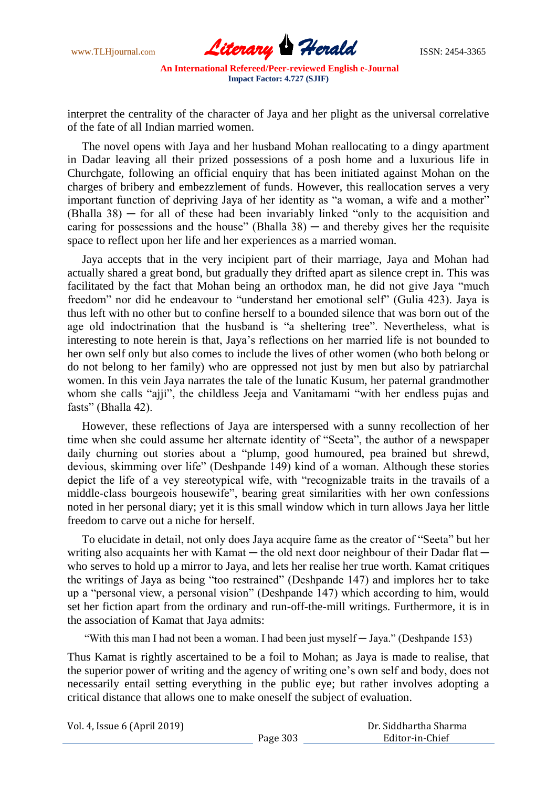www.TLHjournal.com **Literary Herald ISSN: 2454-3365** 

interpret the centrality of the character of Jaya and her plight as the universal correlative of the fate of all Indian married women.

 The novel opens with Jaya and her husband Mohan reallocating to a dingy apartment in Dadar leaving all their prized possessions of a posh home and a luxurious life in Churchgate, following an official enquiry that has been initiated against Mohan on the charges of bribery and embezzlement of funds. However, this reallocation serves a very important function of depriving Jaya of her identity as "a woman, a wife and a mother"  $(Bhalla 38)$   $-$  for all of these had been invariably linked "only to the acquisition and caring for possessions and the house" (Bhalla  $38$ ) — and thereby gives her the requisite space to reflect upon her life and her experiences as a married woman.

 Jaya accepts that in the very incipient part of their marriage, Jaya and Mohan had actually shared a great bond, but gradually they drifted apart as silence crept in. This was facilitated by the fact that Mohan being an orthodox man, he did not give Jaya "much freedom" nor did he endeavour to "understand her emotional self" (Gulia 423). Jaya is thus left with no other but to confine herself to a bounded silence that was born out of the age old indoctrination that the husband is "a sheltering tree". Nevertheless, what is interesting to note herein is that, Jaya's reflections on her married life is not bounded to her own self only but also comes to include the lives of other women (who both belong or do not belong to her family) who are oppressed not just by men but also by patriarchal women. In this vein Jaya narrates the tale of the lunatic Kusum, her paternal grandmother whom she calls "ajji", the childless Jeeja and Vanitamami "with her endless pujas and fasts" (Bhalla 42).

 However, these reflections of Jaya are interspersed with a sunny recollection of her time when she could assume her alternate identity of "Seeta", the author of a newspaper daily churning out stories about a "plump, good humoured, pea brained but shrewd, devious, skimming over life" (Deshpande 149) kind of a woman. Although these stories depict the life of a vey stereotypical wife, with "recognizable traits in the travails of a middle-class bourgeois housewife", bearing great similarities with her own confessions noted in her personal diary; yet it is this small window which in turn allows Jaya her little freedom to carve out a niche for herself.

 To elucidate in detail, not only does Jaya acquire fame as the creator of "Seeta" but her writing also acquaints her with Kamat — the old next door neighbour of their Dadar flat who serves to hold up a mirror to Jaya, and lets her realise her true worth. Kamat critiques the writings of Jaya as being "too restrained" (Deshpande 147) and implores her to take up a "personal view, a personal vision" (Deshpande 147) which according to him, would set her fiction apart from the ordinary and run-off-the-mill writings. Furthermore, it is in the association of Kamat that Jaya admits:

"With this man I had not been a woman. I had been just myself ─ Jaya." (Deshpande 153)

Thus Kamat is rightly ascertained to be a foil to Mohan; as Jaya is made to realise, that the superior power of writing and the agency of writing one's own self and body, does not necessarily entail setting everything in the public eye; but rather involves adopting a critical distance that allows one to make oneself the subject of evaluation.

| Vol. 4, Issue 6 (April 2019) |          | Dr. Siddhartha Sharma |  |
|------------------------------|----------|-----------------------|--|
|                              | Page 303 | Editor-in-Chief       |  |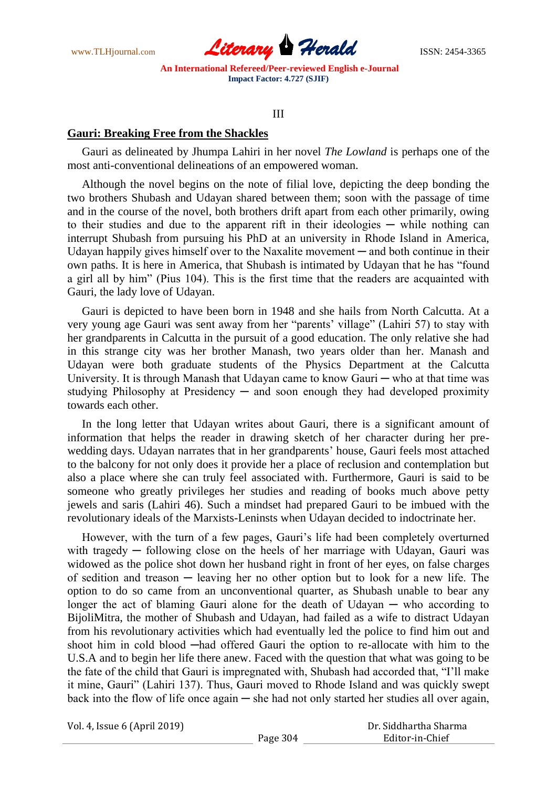www.TLHjournal.com **Literary Herald ISSN: 2454-3365** 

#### III

### **Gauri: Breaking Free from the Shackles**

 Gauri as delineated by Jhumpa Lahiri in her novel *The Lowland* is perhaps one of the most anti-conventional delineations of an empowered woman.

 Although the novel begins on the note of filial love, depicting the deep bonding the two brothers Shubash and Udayan shared between them; soon with the passage of time and in the course of the novel, both brothers drift apart from each other primarily, owing to their studies and due to the apparent rift in their ideologies  $-$  while nothing can interrupt Shubash from pursuing his PhD at an university in Rhode Island in America, Udayan happily gives himself over to the Naxalite movement — and both continue in their own paths. It is here in America, that Shubash is intimated by Udayan that he has "found a girl all by him" (Pius 104). This is the first time that the readers are acquainted with Gauri, the lady love of Udayan.

 Gauri is depicted to have been born in 1948 and she hails from North Calcutta. At a very young age Gauri was sent away from her "parents' village" (Lahiri 57) to stay with her grandparents in Calcutta in the pursuit of a good education. The only relative she had in this strange city was her brother Manash, two years older than her. Manash and Udayan were both graduate students of the Physics Department at the Calcutta University. It is through Manash that Udayan came to know Gauri  $-$  who at that time was studying Philosophy at Presidency  $-$  and soon enough they had developed proximity towards each other.

 In the long letter that Udayan writes about Gauri, there is a significant amount of information that helps the reader in drawing sketch of her character during her prewedding days. Udayan narrates that in her grandparents' house, Gauri feels most attached to the balcony for not only does it provide her a place of reclusion and contemplation but also a place where she can truly feel associated with. Furthermore, Gauri is said to be someone who greatly privileges her studies and reading of books much above petty jewels and saris (Lahiri 46). Such a mindset had prepared Gauri to be imbued with the revolutionary ideals of the Marxists-Leninsts when Udayan decided to indoctrinate her.

 However, with the turn of a few pages, Gauri's life had been completely overturned with tragedy  $-$  following close on the heels of her marriage with Udayan, Gauri was widowed as the police shot down her husband right in front of her eyes, on false charges of sedition and treason ─ leaving her no other option but to look for a new life. The option to do so came from an unconventional quarter, as Shubash unable to bear any longer the act of blaming Gauri alone for the death of Udayan  $-$  who according to BijoliMitra, the mother of Shubash and Udayan, had failed as a wife to distract Udayan from his revolutionary activities which had eventually led the police to find him out and shoot him in cold blood —had offered Gauri the option to re-allocate with him to the U.S.A and to begin her life there anew. Faced with the question that what was going to be the fate of the child that Gauri is impregnated with, Shubash had accorded that, "I'll make it mine, Gauri" (Lahiri 137). Thus, Gauri moved to Rhode Island and was quickly swept back into the flow of life once again — she had not only started her studies all over again,

Vol. 4, Issue 6 (April 2019)

| Dr. Siddhartha Sharma |  |
|-----------------------|--|
| Editor-in-Chief       |  |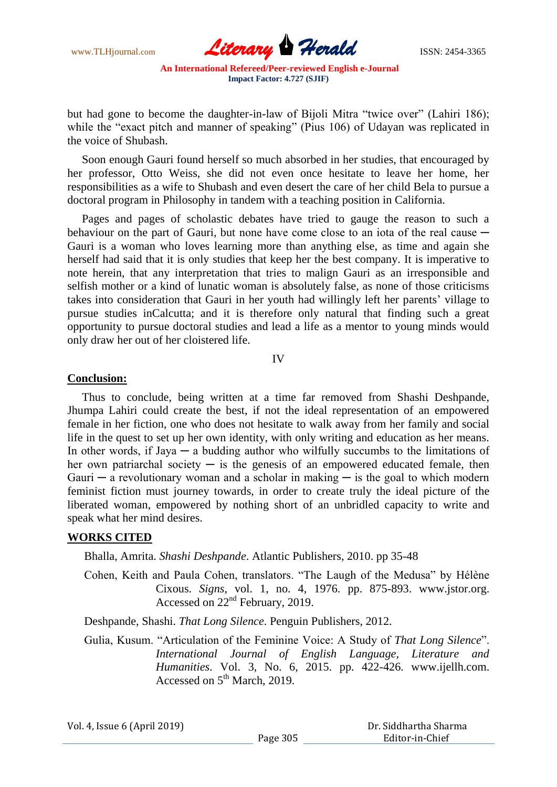www.TLHjournal.com **Literary Herald Herald** ISSN: 2454-3365

but had gone to become the daughter-in-law of Bijoli Mitra "twice over" (Lahiri 186); while the "exact pitch and manner of speaking" (Pius 106) of Udayan was replicated in the voice of Shubash.

 Soon enough Gauri found herself so much absorbed in her studies, that encouraged by her professor, Otto Weiss, she did not even once hesitate to leave her home, her responsibilities as a wife to Shubash and even desert the care of her child Bela to pursue a doctoral program in Philosophy in tandem with a teaching position in California.

 Pages and pages of scholastic debates have tried to gauge the reason to such a behaviour on the part of Gauri, but none have come close to an iota of the real cause  $-$ Gauri is a woman who loves learning more than anything else, as time and again she herself had said that it is only studies that keep her the best company. It is imperative to note herein, that any interpretation that tries to malign Gauri as an irresponsible and selfish mother or a kind of lunatic woman is absolutely false, as none of those criticisms takes into consideration that Gauri in her youth had willingly left her parents' village to pursue studies inCalcutta; and it is therefore only natural that finding such a great opportunity to pursue doctoral studies and lead a life as a mentor to young minds would only draw her out of her cloistered life.

IV

## **Conclusion:**

 Thus to conclude, being written at a time far removed from Shashi Deshpande, Jhumpa Lahiri could create the best, if not the ideal representation of an empowered female in her fiction, one who does not hesitate to walk away from her family and social life in the quest to set up her own identity, with only writing and education as her means. In other words, if  $Jaya - a$  budding author who wilfully succumbs to the limitations of her own patriarchal society  $-$  is the genesis of an empowered educated female, then Gauri — a revolutionary woman and a scholar in making — is the goal to which modern feminist fiction must journey towards, in order to create truly the ideal picture of the liberated woman, empowered by nothing short of an unbridled capacity to write and speak what her mind desires.

### **WORKS CITED**

Bhalla, Amrita. *Shashi Deshpande*. Atlantic Publishers, 2010. pp 35-48

Cohen, Keith and Paula Cohen, translators. "The Laugh of the Medusa" by Hélène Cixous. *Signs*, vol. 1, no. 4, 1976. pp. 875-893. www.jstor.org. Accessed on 22nd February, 2019.

Deshpande, Shashi. *That Long Silence*. Penguin Publishers, 2012.

Gulia, Kusum. "Articulation of the Feminine Voice: A Study of *That Long Silence*". *International Journal of English Language, Literature and Humanities*. Vol. 3, No. 6, 2015. pp. 422-426. www.ijellh.com. Accessed on 5<sup>th</sup> March, 2019.

Vol. 4, Issue 6 (April 2019)

 Dr. Siddhartha Sharma Editor-in-Chief